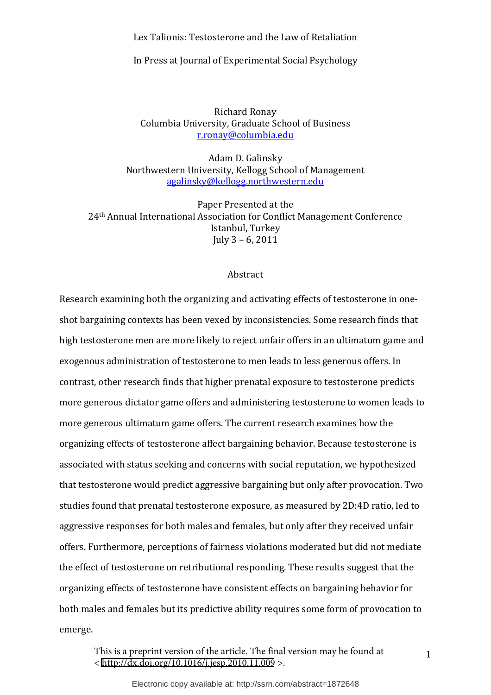Lex Talionis: Testosterone and the Law of Retaliation

In Press at Journal of Experimental Social Psychology

Richard Ronay Columbia University, Graduate School of Business r.ronay@columbia.edu

Adam D. Galinsky Northwestern University, Kellogg School of Management agalinsky@kellogg.northwestern.edu

Paper Presented at the 24<sup>th</sup> Annual International Association for Conflict Management Conference Istanbul, Turkey July  $3 - 6, 2011$ 

#### Abstract

Research examining both the organizing and activating effects of testosterone in oneshot bargaining contexts has been vexed by inconsistencies. Some research finds that high testosterone men are more likely to reject unfair offers in an ultimatum game and exogenous administration of testosterone to men leads to less generous offers. In contrast, other research finds that higher prenatal exposure to testosterone predicts more generous dictator game offers and administering testosterone to women leads to more generous ultimatum game offers. The current research examines how the organizing effects of testosterone affect bargaining behavior. Because testosterone is associated with status seeking and concerns with social reputation, we hypothesized that testosterone would predict aggressive bargaining but only after provocation. Two studies found that prenatal testosterone exposure, as measured by 2D:4D ratio, led to aggressive responses for both males and females, but only after they received unfair offers. Furthermore, perceptions of fairness violations moderated but did not mediate the effect of testosterone on retributional responding. These results suggest that the organizing effects of testosterone have consistent effects on bargaining behavior for both males and females but its predictive ability requires some form of provocation to emerge.

This is a preprint version of the article. The final version may be found at <<http://dx.doi.org/10.1016/j.jesp.2010.11.009> >.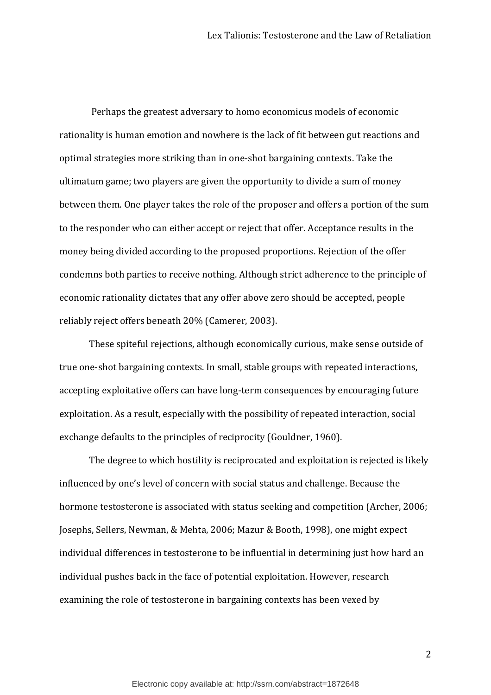Perhaps the greatest adversary to homo economicus models of economic rationality is human emotion and nowhere is the lack of fit between gut reactions and optimal strategies more striking than in one-shot bargaining contexts. Take the ultimatum game; two players are given the opportunity to divide a sum of money between them. One player takes the role of the proposer and offers a portion of the sum to the responder who can either accept or reject that offer. Acceptance results in the money being divided according to the proposed proportions. Rejection of the offer condemns both parties to receive nothing. Although strict adherence to the principle of economic rationality dictates that any offer above zero should be accepted, people reliably reject offers beneath 20% (Camerer, 2003).

These spiteful rejections, although economically curious, make sense outside of true one-shot bargaining contexts. In small, stable groups with repeated interactions, accepting exploitative offers can have long-term consequences by encouraging future exploitation. As a result, especially with the possibility of repeated interaction, social exchange defaults to the principles of reciprocity (Gouldner, 1960).

The degree to which hostility is reciprocated and exploitation is rejected is likely influenced by one's level of concern with social status and challenge. Because the hormone testosterone is associated with status seeking and competition (Archer, 2006; Josephs, Sellers, Newman, & Mehta, 2006; Mazur & Booth, 1998), one might expect individual differences in testosterone to be influential in determining just how hard an individual pushes back in the face of potential exploitation. However, research examining the role of testosterone in bargaining contexts has been vexed by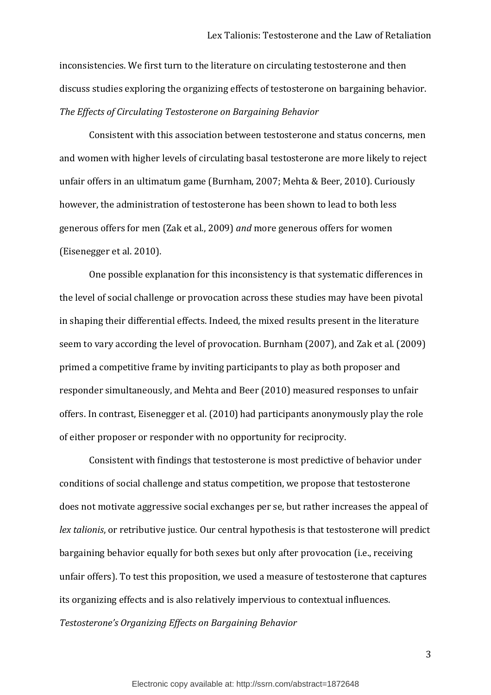inconsistencies. We first turn to the literature on circulating testosterone and then discuss studies exploring the organizing effects of testosterone on bargaining behavior. The Effects of Circulating Testosterone on Bargaining Behavior

Consistent with this association between testosterone and status concerns, men and women with higher levels of circulating basal testosterone are more likely to reject unfair offers in an ultimatum game (Burnham, 2007; Mehta & Beer, 2010). Curiously however, the administration of testosterone has been shown to lead to both less generous offers for men (Zak et al., 2009) and more generous offers for women (Eisenegger et al. 2010).

One possible explanation for this inconsistency is that systematic differences in the level of social challenge or provocation across these studies may have been pivotal in shaping their differential effects. Indeed, the mixed results present in the literature seem to vary according the level of provocation. Burnham (2007), and Zak et al. (2009) primed a competitive frame by inviting participants to play as both proposer and responder simultaneously, and Mehta and Beer (2010) measured responses to unfair offers. In contrast, Eisenegger et al. (2010) had participants anonymously play the role of either proposer or responder with no opportunity for reciprocity.

Consistent with findings that testosterone is most predictive of behavior under conditions of social challenge and status competition, we propose that testosterone does not motivate aggressive social exchanges per se, but rather increases the appeal of lex talionis, or retributive justice. Our central hypothesis is that testosterone will predict bargaining behavior equally for both sexes but only after provocation (i.e., receiving unfair offers). To test this proposition, we used a measure of testosterone that captures its organizing effects and is also relatively impervious to contextual influences. Testosterone's Organizing Effects on Bargaining Behavior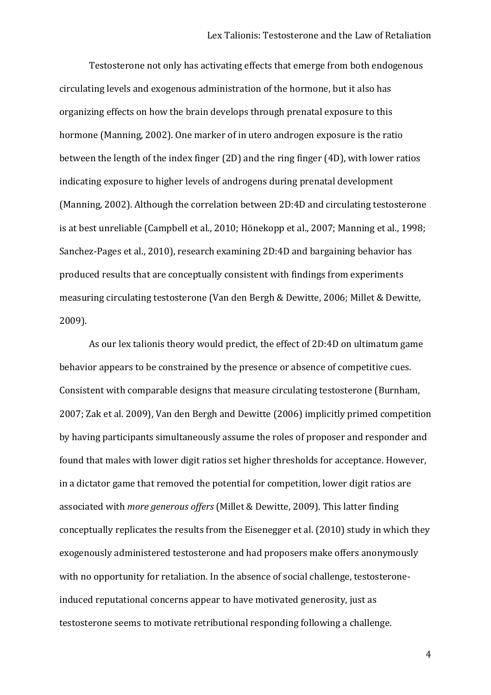Testosterone not only has activating effects that emerge from both endogenous circulating levels and exogenous administration of the hormone, but it also has organizing effects on how the brain develops through prenatal exposure to this hormone (Manning, 2002). One marker of in utero androgen exposure is the ratio between the length of the index finger (2D) and the ring finger (4D), with lower ratios indicating exposure to higher levels of androgens during prenatal development (Manning, 2002). Although the correlation between 2D:4D and circulating testosterone is at best unreliable (Campbell et al., 2010; Hönekopp et al., 2007; Manning et al., 1998; Sanchez-Pages et al., 2010), research examining 2D:4D and bargaining behavior has produced results that are conceptually consistent with findings from experiments measuring circulating testosterone (Van den Bergh & Dewitte, 2006; Millet & Dewitte, 2009).

As our lex talionis theory would predict, the effect of 2D:4D on ultimatum game behavior appears to be constrained by the presence or absence of competitive cues. Consistent with comparable designs that measure circulating testosterone (Burnham, 2007; Zak et al. 2009), Van den Bergh and Dewitte (2006) implicitly primed competition by having participants simultaneously assume the roles of proposer and responder and found that males with lower digit ratios set higher thresholds for acceptance. However, in a dictator game that removed the potential for competition, lower digit ratios are associated with more generous offers (Millet & Dewitte, 2009). This latter finding conceptually replicates the results from the Eisenegger et al. (2010) study in which they exogenously administered testosterone and had proposers make offers anonymously with no opportunity for retaliation. In the absence of social challenge, testosteroneinduced reputational concerns appear to have motivated generosity, just as testosterone seems to motivate retributional responding following a challenge.

 $\overline{4}$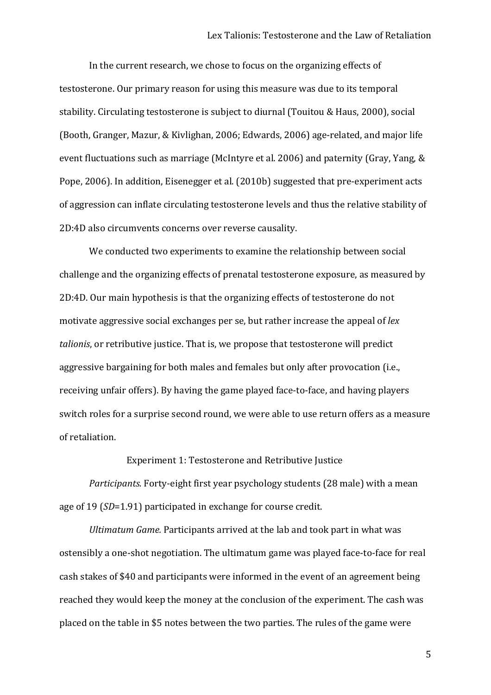In the current research, we chose to focus on the organizing effects of testosterone. Our primary reason for using this measure was due to its temporal stability. Circulating testosterone is subject to diurnal (Touitou & Haus, 2000), social (Booth, Granger, Mazur, & Kivlighan, 2006; Edwards, 2006) age-related, and major life event fluctuations such as marriage (McIntyre et al. 2006) and paternity (Gray, Yang, & Pope, 2006). In addition, Eisenegger et al. (2010b) suggested that pre-experiment acts of aggression can inflate circulating testosterone levels and thus the relative stability of 2D:4D also circumvents concerns over reverse causality.

We conducted two experiments to examine the relationship between social challenge and the organizing effects of prenatal testosterone exposure, as measured by 2D:4D. Our main hypothesis is that the organizing effects of testosterone do not motivate aggressive social exchanges per se, but rather increase the appeal of lex talionis, or retributive justice. That is, we propose that testosterone will predict aggressive bargaining for both males and females but only after provocation (i.e., receiving unfair offers). By having the game played face-to-face, and having players switch roles for a surprise second round, we were able to use return offers as a measure of retaliation.

Experiment 1: Testosterone and Retributive Justice

Participants. Forty-eight first year psychology students (28 male) with a mean age of 19 (SD=1.91) participated in exchange for course credit.

Ultimatum Game. Participants arrived at the lab and took part in what was ostensibly a one-shot negotiation. The ultimatum game was played face-to-face for real cash stakes of \$40 and participants were informed in the event of an agreement being reached they would keep the money at the conclusion of the experiment. The cash was placed on the table in \$5 notes between the two parties. The rules of the game were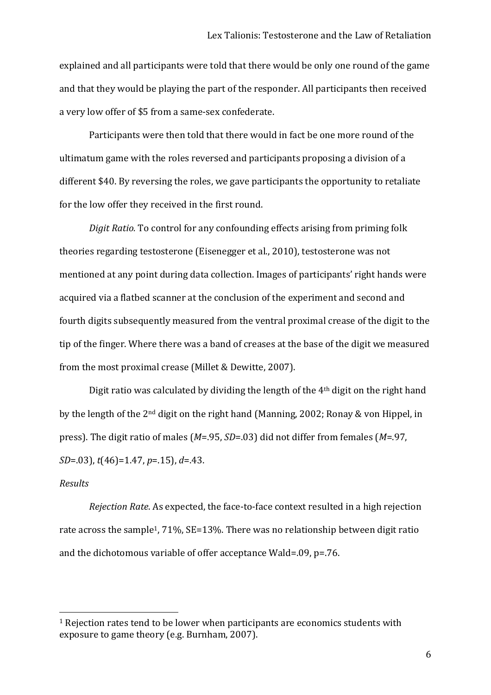explained and all participants were told that there would be only one round of the game and that they would be playing the part of the responder. All participants then received a very low offer of \$5 from a same-sex confederate.

Participants were then told that there would in fact be one more round of the ultimatum game with the roles reversed and participants proposing a division of a different \$40. By reversing the roles, we gave participants the opportunity to retaliate for the low offer they received in the first round.

Digit Ratio. To control for any confounding effects arising from priming folk theories regarding testosterone (Eisenegger et al., 2010), testosterone was not mentioned at any point during data collection. Images of participants' right hands were acquired via a flatbed scanner at the conclusion of the experiment and second and fourth digits subsequently measured from the ventral proximal crease of the digit to the tip of the finger. Where there was a band of creases at the base of the digit we measured from the most proximal crease (Millet & Dewitte, 2007).

Digit ratio was calculated by dividing the length of the 4<sup>th</sup> digit on the right hand by the length of the 2<sup>nd</sup> digit on the right hand (Manning, 2002; Ronay & von Hippel, in press). The digit ratio of males ( $M = .95$ ,  $SD = .03$ ) did not differ from females ( $M = .97$ ,  $SD = .03$ ,  $t(46) = 1.47$ ,  $p = .15$ ,  $d = .43$ .

## Results

Rejection Rate. As expected, the face-to-face context resulted in a high rejection rate across the sample<sup>1</sup>, 71%, SE=13%. There was no relationship between digit ratio and the dichotomous variable of offer acceptance Wald=.09, p=.76.

<sup>&</sup>lt;sup>1</sup> Rejection rates tend to be lower when participants are economics students with exposure to game theory (e.g. Burnham, 2007).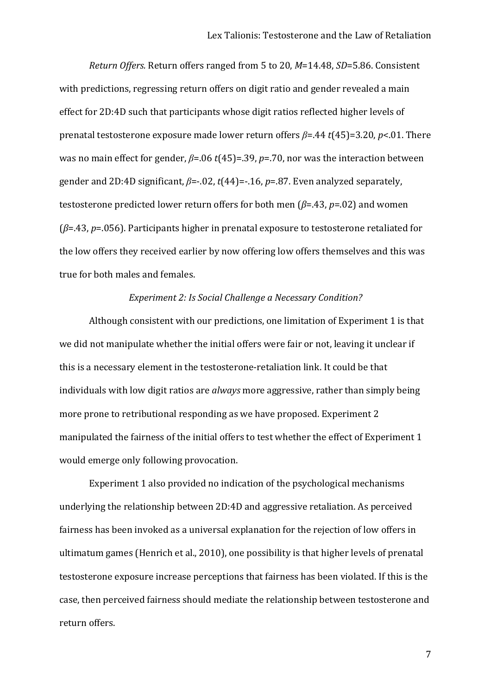*Return Offers.* Return offers ranged from 5 to 20, *M*=14.48, *SD*=5.86. Consistent with predictions, regressing return offers on digit ratio and gender revealed a main effect for 2D:4D such that participants whose digit ratios reflected higher levels of prenatal testosterone exposure made lower return offers  $\beta$ =.44  $t$ (45)=3.20,  $p$ <.01. There was no main effect for gender,  $β=06$  *t*(45)=.39, *p*=.70, nor was the interaction between gender and 2D:4D significant,  $β = 0.02$ ,  $t(44) = 0.16$ ,  $p = 0.87$ . Even analyzed separately, testosterone predicted lower return offers for both men ( $\beta$ =.43,  $p$ =.02) and women ( $\beta$ =.43,  $p$ =.056). Participants higher in prenatal exposure to testosterone retaliated for the low offers they received earlier by now offering low offers themselves and this was true for both males and females.

#### *Experiment 2: Is Social Challenge a Necessary Condition?*

Although consistent with our predictions, one limitation of Experiment 1 is that we did not manipulate whether the initial offers were fair or not, leaving it unclear if this is a necessary element in the testosterone-retaliation link. It could be that individuals with low digit ratios are *always* more aggressive, rather than simply being more prone to retributional responding as we have proposed. Experiment 2 manipulated the fairness of the initial offers to test whether the effect of Experiment 1 would emerge only following provocation.

Experiment 1 also provided no indication of the psychological mechanisms underlying the relationship between 2D:4D and aggressive retaliation. As perceived fairness has been invoked as a universal explanation for the rejection of low offers in ultimatum games (Henrich et al., 2010), one possibility is that higher levels of prenatal testosterone exposure increase perceptions that fairness has been violated. If this is the case, then perceived fairness should mediate the relationship between testosterone and return offers.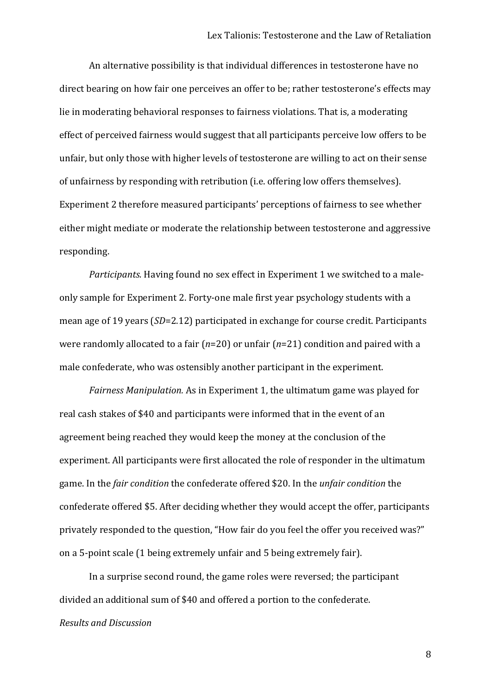An alternative possibility is that individual differences in testosterone have no direct bearing on how fair one perceives an offer to be; rather testosterone's effects may lie in moderating behavioral responses to fairness violations. That is, a moderating effect of perceived fairness would suggest that all participants perceive low offers to be unfair, but only those with higher levels of testosterone are willing to act on their sense of unfairness by responding with retribution (i.e. offering low offers themselves). Experiment 2 therefore measured participants' perceptions of fairness to see whether either might mediate or moderate the relationship between testosterone and aggressive responding.

Participants. Having found no sex effect in Experiment 1 we switched to a maleonly sample for Experiment 2. Forty-one male first year psychology students with a mean age of 19 years (SD=2.12) participated in exchange for course credit. Participants were randomly allocated to a fair ( $n=20$ ) or unfair ( $n=21$ ) condition and paired with a male confederate, who was ostensibly another participant in the experiment.

Fairness Manipulation. As in Experiment 1, the ultimatum game was played for real cash stakes of \$40 and participants were informed that in the event of an agreement being reached they would keep the money at the conclusion of the experiment. All participants were first allocated the role of responder in the ultimatum game. In the fair condition the confederate offered \$20. In the *unfair condition* the confederate offered \$5. After deciding whether they would accept the offer, participants privately responded to the question, "How fair do you feel the offer you received was?" on a 5-point scale (1 being extremely unfair and 5 being extremely fair).

In a surprise second round, the game roles were reversed; the participant divided an additional sum of \$40 and offered a portion to the confederate. **Results and Discussion**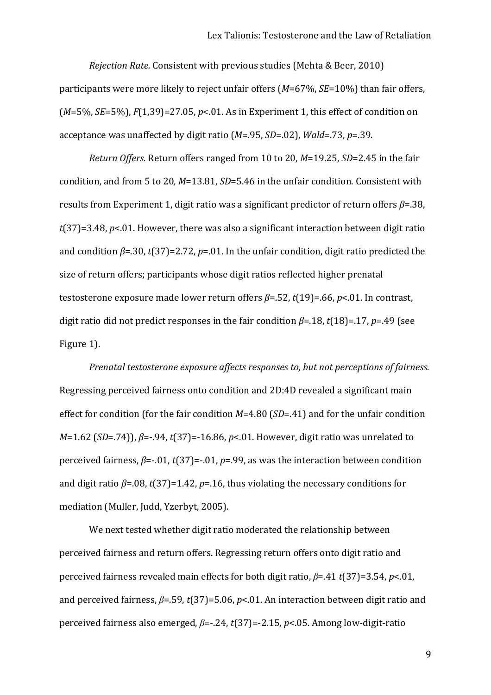Rejection Rate. Consistent with previous studies (Mehta & Beer, 2010) participants were more likely to reject unfair offers  $(M=67\%, SE=10\%)$  than fair offers,  $(M=5\%, SE=5\%)$ ,  $F(1,39) = 27.05$ ,  $p < 01$ . As in Experiment 1, this effect of condition on acceptance was unaffected by digit ratio ( $M = 95$ ,  $SD = 02$ ),  $Wald = 73$ ,  $p = 39$ .

Return Offers. Return offers ranged from 10 to 20, M=19.25, SD=2.45 in the fair condition, and from 5 to 20, M=13.81, SD=5.46 in the unfair condition. Consistent with results from Experiment 1, digit ratio was a significant predictor of return offers  $\beta$ =.38,  $t(37)=3.48$ , p<.01. However, there was also a significant interaction between digit ratio and condition  $\beta$ =.30, t(37)=2.72, p=.01. In the unfair condition, digit ratio predicted the size of return offers; participants whose digit ratios reflected higher prenatal testosterone exposure made lower return offers  $\beta$ =.52, t(19)=.66, p<.01. In contrast, digit ratio did not predict responses in the fair condition  $\beta$ =.18, t(18)=.17, p=.49 (see Figure 1).

Prenatal testosterone exposure affects responses to, but not perceptions of fairness. Regressing perceived fairness onto condition and 2D:4D revealed a significant main effect for condition (for the fair condition  $M=4.80$  (SD=.41) and for the unfair condition  $M=1.62$  (SD=.74)),  $\beta$ =-.94, t(37)=-16.86, p<.01. However, digit ratio was unrelated to perceived fairness,  $\beta$ =-.01, t(37)=-.01, p=.99, as was the interaction between condition and digit ratio  $\beta$ =.08, t(37)=1.42, p=.16, thus violating the necessary conditions for mediation (Muller, Judd, Yzerbyt, 2005).

We next tested whether digit ratio moderated the relationship between perceived fairness and return offers. Regressing return offers onto digit ratio and perceived fairness revealed main effects for both digit ratio,  $\beta$ =.41  $t$ (37)=3.54, p<.01, and perceived fairness,  $\beta$ =.59, t(37)=5.06, p<.01. An interaction between digit ratio and perceived fairness also emerged,  $\beta$ =-.24,  $t(37)$ =-2.15,  $p<0$ 5. Among low-digit-ratio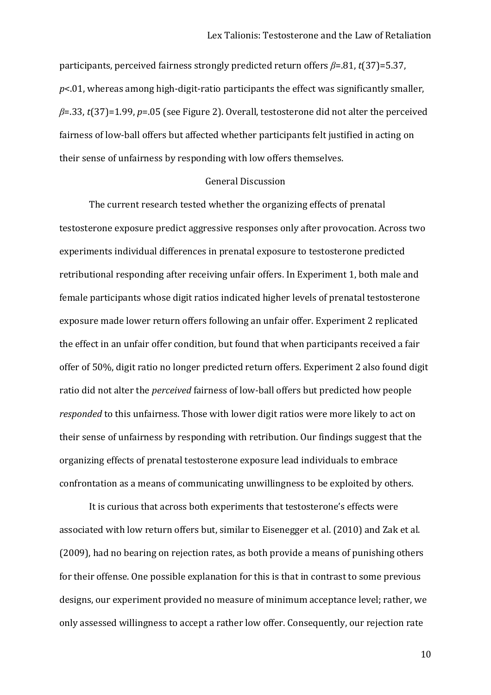participants, perceived fairness strongly predicted return offers *β*=.81, *t*(37)=5.37,  $p$ <.01, whereas among high-digit-ratio participants the effect was significantly smaller,  $\beta$ =.33, *t*(37)=1.99, *p*=.05 (see Figure 2). Overall, testosterone did not alter the perceived fairness of low-ball offers but affected whether participants felt justified in acting on their sense of unfairness by responding with low offers themselves.

## General Discussion

The current research tested whether the organizing effects of prenatal testosterone exposure predict aggressive responses only after provocation. Across two experiments individual differences in prenatal exposure to testosterone predicted retributional responding after receiving unfair offers. In Experiment 1, both male and female participants whose digit ratios indicated higher levels of prenatal testosterone exposure made lower return offers following an unfair offer. Experiment 2 replicated the effect in an unfair offer condition, but found that when participants received a fair offer of 50%, digit ratio no longer predicted return offers. Experiment 2 also found digit ratio did not alter the *perceived* fairness of low-ball offers but predicted how people *responded* to this unfairness. Those with lower digit ratios were more likely to act on their sense of unfairness by responding with retribution. Our findings suggest that the organizing effects of prenatal testosterone exposure lead individuals to embrace confrontation as a means of communicating unwillingness to be exploited by others.

It is curious that across both experiments that testosterone's effects were associated with low return offers but, similar to Eisenegger et al. (2010) and Zak et al.  $(2009)$ , had no bearing on rejection rates, as both provide a means of punishing others for their offense. One possible explanation for this is that in contrast to some previous designs, our experiment provided no measure of minimum acceptance level; rather, we only assessed willingness to accept a rather low offer. Consequently, our rejection rate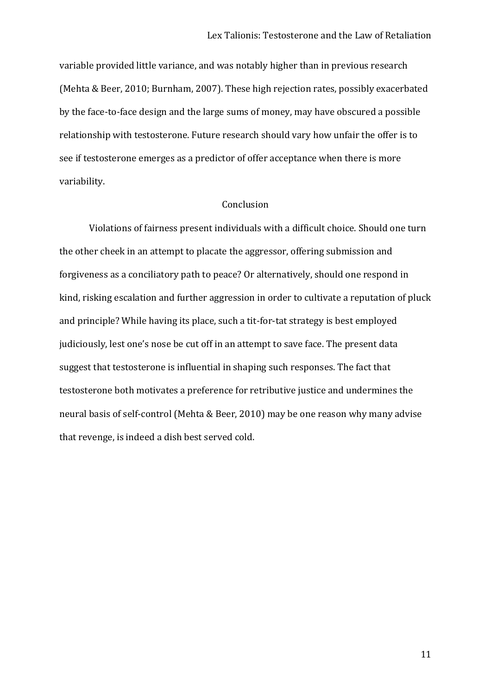variable provided little variance, and was notably higher than in previous research (Mehta & Beer, 2010; Burnham, 2007). These high rejection rates, possibly exacerbated by the face-to-face design and the large sums of money, may have obscured a possible relationship with testosterone. Future research should vary how unfair the offer is to see if testosterone emerges as a predictor of offer acceptance when there is more variability.

## Conclusion

Violations of fairness present individuals with a difficult choice. Should one turn the other cheek in an attempt to placate the aggressor, offering submission and forgiveness as a conciliatory path to peace? Or alternatively, should one respond in kind, risking escalation and further aggression in order to cultivate a reputation of pluck and principle? While having its place, such a tit-for-tat strategy is best employed judiciously, lest one's nose be cut off in an attempt to save face. The present data suggest that testosterone is influential in shaping such responses. The fact that testosterone both motivates a preference for retributive justice and undermines the neural basis of self-control (Mehta & Beer, 2010) may be one reason why many advise that revenge, is indeed a dish best served cold.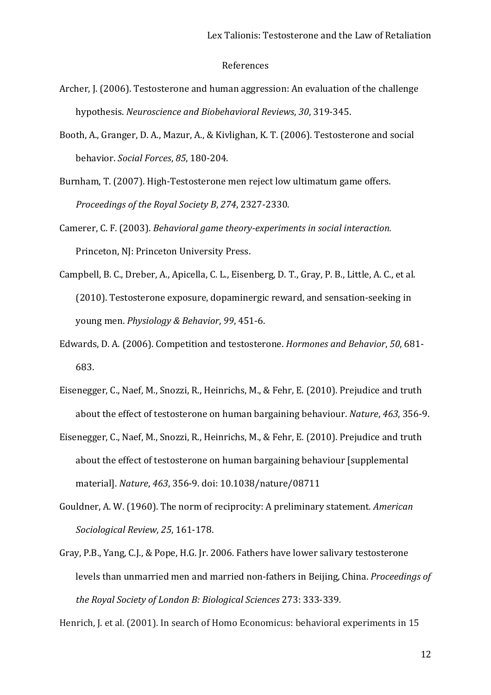#### References

- Archer, J. (2006). Testosterone and human aggression: An evaluation of the challenge hypothesis. *Neuroscience and Biobehavioral Reviews*, 30, 319-345.
- Booth, A., Granger, D. A., Mazur, A., & Kivlighan, K. T. (2006). Testosterone and social behavior. Social Forces, 85, 180-204.
- Burnham, T. (2007). High-Testosterone men reject low ultimatum game offers. *Proceedings of the Royal Society B, 274, 2327-2330.*
- Camerer, C. F. (2003). *Behavioral game theory-experiments in social interaction.* Princeton, NJ: Princeton University Press.
- Campbell, B. C., Dreber, A., Apicella, C. L., Eisenberg, D. T., Gray, P. B., Little, A. C., et al. (2010). Testosterone exposure, dopaminergic reward, and sensation-seeking in young men. *Physiology & Behavior*, 99, 451-6.
- Edwards, D. A. (2006). Competition and testosterone. *Hormones and Behavior*, 50, 681-683.
- Eisenegger, C., Naef, M., Snozzi, R., Heinrichs, M., & Fehr, E. (2010). Prejudice and truth about the effect of testosterone on human bargaining behaviour. *Nature*, 463, 356-9.
- Eisenegger, C., Naef, M., Snozzi, R., Heinrichs, M., & Fehr, E. (2010). Prejudice and truth about the effect of testosterone on human bargaining behaviour [supplemental] material]. *Nature*, 463, 356-9. doi: 10.1038/nature/08711
- Gouldner, A. W. (1960). The norm of reciprocity: A preliminary statement. *American Sociological Review, 25, 161-178.*
- Gray, P.B., Yang, C.J., & Pope, H.G. Jr. 2006. Fathers have lower salivary testosterone levels than unmarried men and married non-fathers in Beijing, China. *Proceedings of the Royal Society of London B: Biological Sciences* 273: 333-339*.*

Henrich, J. et al. (2001). In search of Homo Economicus: behavioral experiments in 15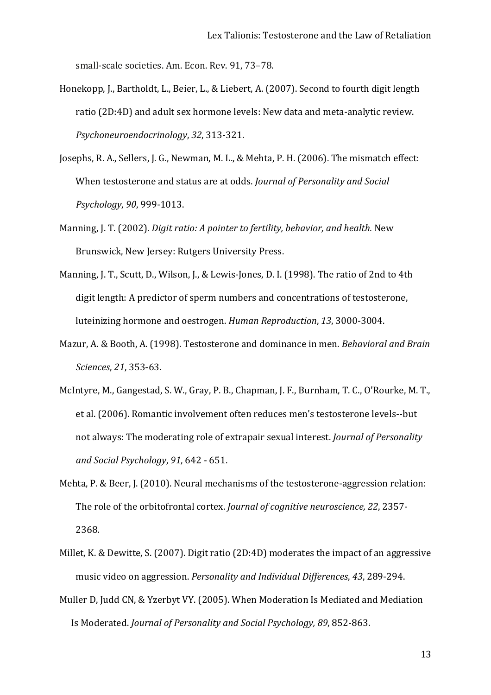small-scale societies. Am. Econ. Rev. 91, 73–78.

- Honekopp, J., Bartholdt, L., Beier, L., & Liebert, A. (2007). Second to fourth digit length ratio (2D:4D) and adult sex hormone levels: New data and meta-analytic review. *Psychoneuroendocrinology*, 32, 313-321.
- Josephs, R. A., Sellers, J. G., Newman, M. L., & Mehta, P. H. (2006). The mismatch effect: When testosterone and status are at odds. *Journal of Personality and Social Psychology*, 90, 999-1013.
- Manning, J. T. (2002). *Digit ratio: A pointer to fertility, behavior, and health.* New Brunswick, New Jersey: Rutgers University Press.
- Manning, J. T., Scutt, D., Wilson, J., & Lewis-Jones, D. I. (1998). The ratio of 2nd to 4th digit length: A predictor of sperm numbers and concentrations of testosterone, luteinizing hormone and oestrogen. *Human Reproduction*, 13, 3000-3004.
- Mazur, A. & Booth, A. (1998). Testosterone and dominance in men. *Behavioral and Brain Sciences, 21, 353-63.*
- McIntyre, M., Gangestad, S. W., Gray, P. B., Chapman, J. F., Burnham, T. C., O'Rourke, M. T., et al. (2006). Romantic involvement often reduces men's testosterone levels--but not always: The moderating role of extrapair sexual interest. *Journal of Personality and Social Psychology*, 91, 642 - 651.
- Mehta, P. & Beer, J. (2010). Neural mechanisms of the testosterone-aggression relation: The role of the orbitofrontal cortex. *Journal of cognitive neuroscience, 22*, 2357-2368*.*
- Millet, K. & Dewitte, S. (2007). Digit ratio (2D:4D) moderates the impact of an aggressive music video on aggression. *Personality and Individual Differences*, 43, 289-294.
- Muller D, Judd CN, & Yzerbyt VY. (2005). When Moderation Is Mediated and Mediation Is Moderated. *Journal of Personality and Social Psychology, 89, 852-863.*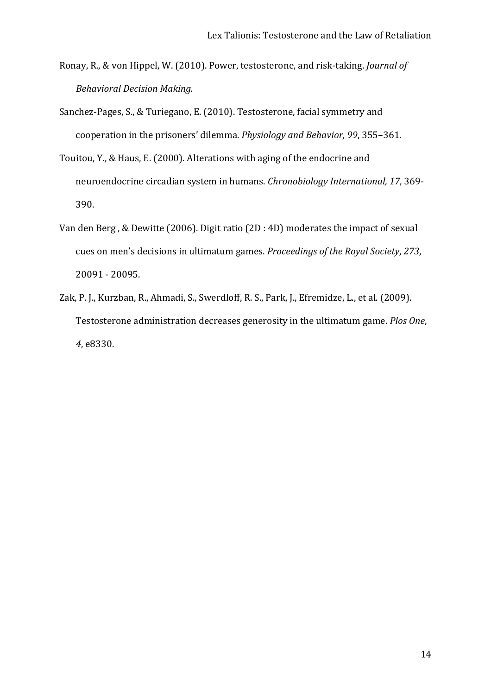- Ronay, R., & von Hippel, W. (2010). Power, testosterone, and risk-taking. Journal of **Behavioral Decision Making.**
- Sanchez-Pages, S., & Turiegano, E. (2010). Testosterone, facial symmetry and cooperation in the prisoners' dilemma. Physiology and Behavior, 99, 355-361.
- Touitou, Y., & Haus, E. (2000). Alterations with aging of the endocrine and neuroendocrine circadian system in humans. Chronobiology International, 17, 369-390.
- Van den Berg, & Dewitte (2006). Digit ratio (2D : 4D) moderates the impact of sexual cues on men's decisions in ultimatum games. Proceedings of the Royal Society, 273, 20091 - 20095.
- Zak, P. J., Kurzban, R., Ahmadi, S., Swerdloff, R. S., Park, J., Efremidze, L., et al. (2009). Testosterone administration decreases generosity in the ultimatum game. Plos One, 4, e8330.